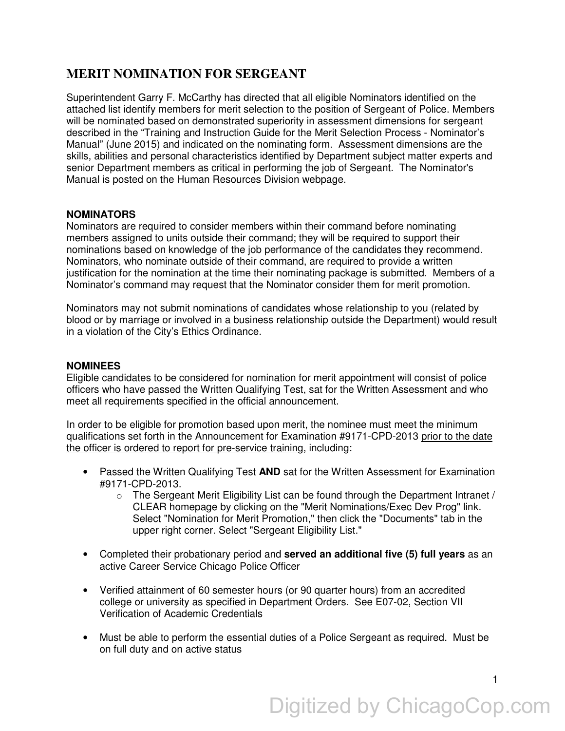## **MERIT NOMINATION FOR SERGEANT**

Superintendent Garry F. McCarthy has directed that all eligible Nominators identified on the attached list identify members for merit selection to the position of Sergeant of Police. Members will be nominated based on demonstrated superiority in assessment dimensions for sergeant described in the "Training and Instruction Guide for the Merit Selection Process - Nominator's Manual" (June 2015) and indicated on the nominating form. Assessment dimensions are the skills, abilities and personal characteristics identified by Department subject matter experts and senior Department members as critical in performing the job of Sergeant. The Nominator's Manual is posted on the Human Resources Division webpage.

## **NOMINATORS**

Nominators are required to consider members within their command before nominating members assigned to units outside their command; they will be required to support their nominations based on knowledge of the job performance of the candidates they recommend. Nominators, who nominate outside of their command, are required to provide a written justification for the nomination at the time their nominating package is submitted. Members of a Nominator's command may request that the Nominator consider them for merit promotion.

Nominators may not submit nominations of candidates whose relationship to you (related by blood or by marriage or involved in a business relationship outside the Department) would result in a violation of the City's Ethics Ordinance.

## **NOMINEES**

Eligible candidates to be considered for nomination for merit appointment will consist of police officers who have passed the Written Qualifying Test, sat for the Written Assessment and who meet all requirements specified in the official announcement.

In order to be eligible for promotion based upon merit, the nominee must meet the minimum qualifications set forth in the Announcement for Examination #9171-CPD-2013 prior to the date the officer is ordered to report for pre-service training, including:

- Passed the Written Qualifying Test **AND** sat for the Written Assessment for Examination #9171-CPD-2013.
	- $\circ$  The Sergeant Merit Eligibility List can be found through the Department Intranet / CLEAR homepage by clicking on the "Merit Nominations/Exec Dev Prog" link. Select "Nomination for Merit Promotion," then click the "Documents" tab in the upper right corner. Select "Sergeant Eligibility List."
- Completed their probationary period and **served an additional five (5) full years** as an active Career Service Chicago Police Officer
- Verified attainment of 60 semester hours (or 90 quarter hours) from an accredited college or university as specified in Department Orders. See E07-02, Section VII Verification of Academic Credentials
- Must be able to perform the essential duties of a Police Sergeant as required. Must be on full duty and on active status

1

# Digitized by ChicagoCop.com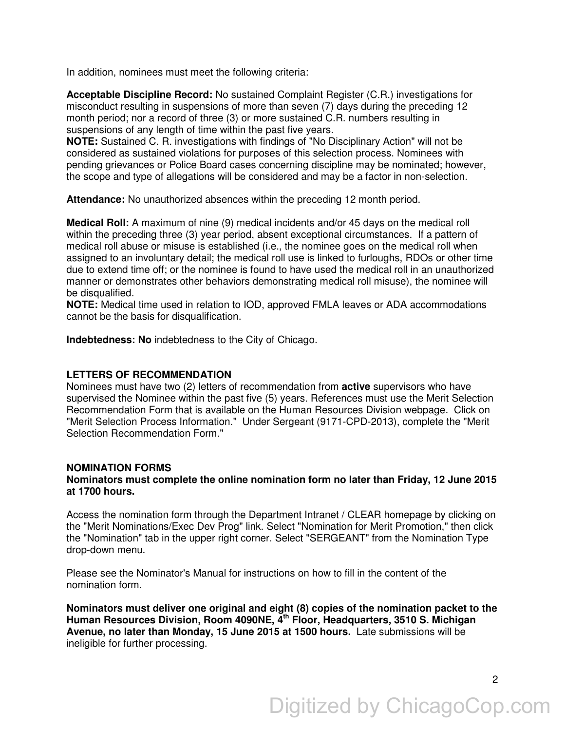In addition, nominees must meet the following criteria:

**Acceptable Discipline Record:** No sustained Complaint Register (C.R.) investigations for misconduct resulting in suspensions of more than seven (7) days during the preceding 12 month period; nor a record of three (3) or more sustained C.R. numbers resulting in suspensions of any length of time within the past five years.

**NOTE:** Sustained C. R. investigations with findings of "No Disciplinary Action" will not be considered as sustained violations for purposes of this selection process. Nominees with pending grievances or Police Board cases concerning discipline may be nominated; however, the scope and type of allegations will be considered and may be a factor in non-selection.

**Attendance:** No unauthorized absences within the preceding 12 month period.

**Medical Roll:** A maximum of nine (9) medical incidents and/or 45 days on the medical roll within the preceding three (3) year period, absent exceptional circumstances. If a pattern of medical roll abuse or misuse is established (i.e., the nominee goes on the medical roll when assigned to an involuntary detail; the medical roll use is linked to furloughs, RDOs or other time due to extend time off; or the nominee is found to have used the medical roll in an unauthorized manner or demonstrates other behaviors demonstrating medical roll misuse), the nominee will be disqualified.

**NOTE:** Medical time used in relation to IOD, approved FMLA leaves or ADA accommodations cannot be the basis for disqualification.

**Indebtedness: No** indebtedness to the City of Chicago.

## **LETTERS OF RECOMMENDATION**

Nominees must have two (2) letters of recommendation from **active** supervisors who have supervised the Nominee within the past five (5) years. References must use the Merit Selection Recommendation Form that is available on the Human Resources Division webpage. Click on "Merit Selection Process Information." Under Sergeant (9171-CPD-2013), complete the "Merit Selection Recommendation Form."

#### **NOMINATION FORMS**

### **Nominators must complete the online nomination form no later than Friday, 12 June 2015 at 1700 hours.**

Access the nomination form through the Department Intranet / CLEAR homepage by clicking on the "Merit Nominations/Exec Dev Prog" link. Select "Nomination for Merit Promotion," then click the "Nomination" tab in the upper right corner. Select "SERGEANT" from the Nomination Type drop-down menu.

Please see the Nominator's Manual for instructions on how to fill in the content of the nomination form.

**Nominators must deliver one original and eight (8) copies of the nomination packet to the Human Resources Division, Room 4090NE, 4th Floor, Headquarters, 3510 S. Michigan Avenue, no later than Monday, 15 June 2015 at 1500 hours.** Late submissions will be ineligible for further processing.

2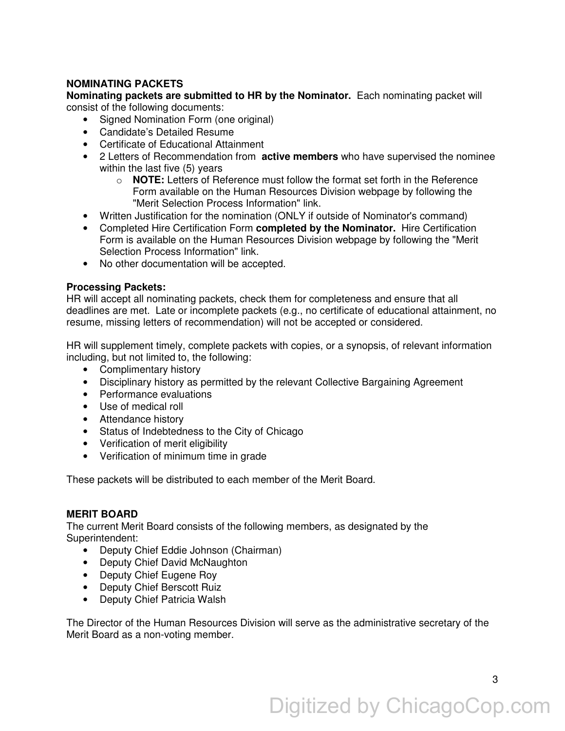## **NOMINATING PACKETS**

**Nominating packets are submitted to HR by the Nominator.** Each nominating packet will consist of the following documents:

- Signed Nomination Form (one original)
- Candidate's Detailed Resume
- Certificate of Educational Attainment
- 2 Letters of Recommendation from **active members** who have supervised the nominee within the last five (5) years
	- o **NOTE:** Letters of Reference must follow the format set forth in the Reference Form available on the Human Resources Division webpage by following the "Merit Selection Process Information" link.
- Written Justification for the nomination (ONLY if outside of Nominator's command)
- Completed Hire Certification Form **completed by the Nominator.** Hire Certification Form is available on the Human Resources Division webpage by following the "Merit Selection Process Information" link.
- No other documentation will be accepted.

## **Processing Packets:**

HR will accept all nominating packets, check them for completeness and ensure that all deadlines are met. Late or incomplete packets (e.g., no certificate of educational attainment, no resume, missing letters of recommendation) will not be accepted or considered.

HR will supplement timely, complete packets with copies, or a synopsis, of relevant information including, but not limited to, the following:

- Complimentary history
- Disciplinary history as permitted by the relevant Collective Bargaining Agreement
- Performance evaluations
- Use of medical roll
- Attendance history
- Status of Indebtedness to the City of Chicago
- Verification of merit eligibility
- Verification of minimum time in grade

These packets will be distributed to each member of the Merit Board.

## **MERIT BOARD**

The current Merit Board consists of the following members, as designated by the Superintendent:

- Deputy Chief Eddie Johnson (Chairman)
- Deputy Chief David McNaughton
- Deputy Chief Eugene Roy
- Deputy Chief Berscott Ruiz
- Deputy Chief Patricia Walsh

The Director of the Human Resources Division will serve as the administrative secretary of the Merit Board as a non-voting member.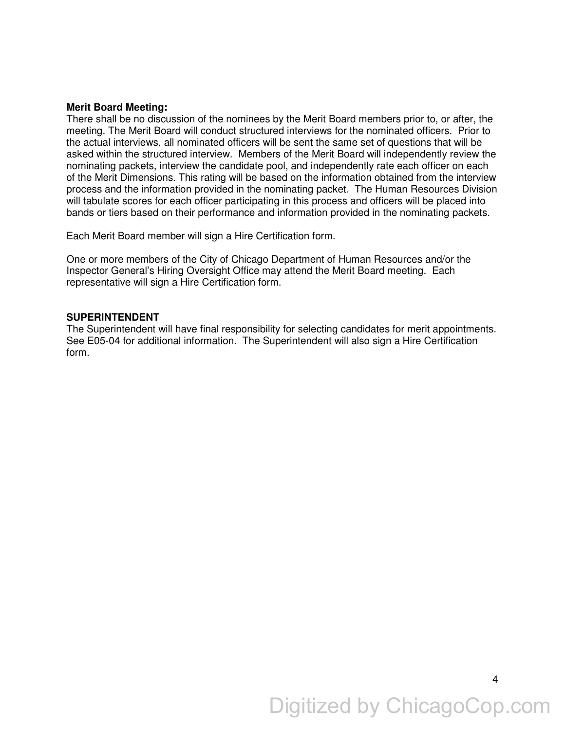#### **Merit Board Meeting:**

There shall be no discussion of the nominees by the Merit Board members prior to, or after, the meeting. The Merit Board will conduct structured interviews for the nominated officers. Prior to the actual interviews, all nominated officers will be sent the same set of questions that will be asked within the structured interview. Members of the Merit Board will independently review the nominating packets, interview the candidate pool, and independently rate each officer on each of the Merit Dimensions. This rating will be based on the information obtained from the interview process and the information provided in the nominating packet. The Human Resources Division will tabulate scores for each officer participating in this process and officers will be placed into bands or tiers based on their performance and information provided in the nominating packets.

Each Merit Board member will sign a Hire Certification form.

One or more members of the City of Chicago Department of Human Resources and/or the Inspector General's Hiring Oversight Office may attend the Merit Board meeting. Each representative will sign a Hire Certification form.

#### **SUPERINTENDENT**

The Superintendent will have final responsibility for selecting candidates for merit appointments. See E05-04 for additional information. The Superintendent will also sign a Hire Certification form.

Digitized by ChicagoCop.com

4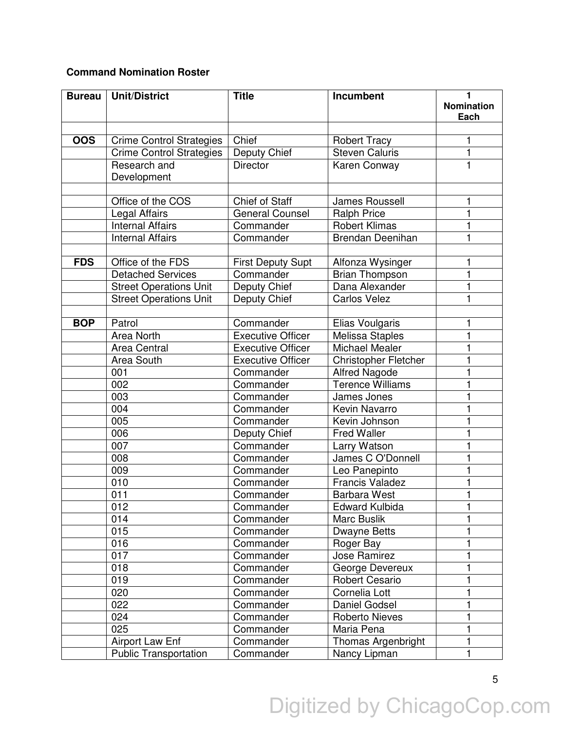## **Command Nomination Roster**

| <b>Bureau</b> | <b>Unit/District</b>            | <b>Title</b>             | Incumbent                   | 1                 |
|---------------|---------------------------------|--------------------------|-----------------------------|-------------------|
|               |                                 |                          |                             | <b>Nomination</b> |
|               |                                 |                          |                             | Each              |
|               |                                 |                          |                             |                   |
| <b>OOS</b>    | <b>Crime Control Strategies</b> | Chief                    | <b>Robert Tracy</b>         | 1                 |
|               | Crime Control Strategies        | Deputy Chief             | <b>Steven Caluris</b>       | 1                 |
|               | Research and                    | <b>Director</b>          | Karen Conway                | 1                 |
|               | Development                     |                          |                             |                   |
|               |                                 |                          |                             |                   |
|               | Office of the COS               | Chief of Staff           | James Roussell              | 1                 |
|               | Legal Affairs                   | <b>General Counsel</b>   | <b>Ralph Price</b>          |                   |
|               | <b>Internal Affairs</b>         | Commander                | <b>Robert Klimas</b>        |                   |
|               | <b>Internal Affairs</b>         | Commander                | Brendan Deenihan            | 1                 |
|               |                                 |                          |                             |                   |
| <b>FDS</b>    | Office of the FDS               | <b>First Deputy Supt</b> | Alfonza Wysinger            | 1                 |
|               | <b>Detached Services</b>        | Commander                | <b>Brian Thompson</b>       | 1                 |
|               | <b>Street Operations Unit</b>   | Deputy Chief             | Dana Alexander              |                   |
|               | <b>Street Operations Unit</b>   | Deputy Chief             | <b>Carlos Velez</b>         | 1                 |
|               |                                 |                          |                             |                   |
| <b>BOP</b>    | Patrol                          | Commander                | Elias Voulgaris             | 1                 |
|               | Area North                      | <b>Executive Officer</b> | <b>Melissa Staples</b>      | 1                 |
|               | <b>Area Central</b>             | <b>Executive Officer</b> | <b>Michael Mealer</b>       |                   |
|               | Area South                      | <b>Executive Officer</b> | <b>Christopher Fletcher</b> |                   |
|               | 001                             | Commander                | <b>Alfred Nagode</b>        |                   |
|               | 002                             | Commander                | <b>Terence Williams</b>     |                   |
|               | 003                             | Commander                | James Jones                 |                   |
|               | 004                             | Commander                | Kevin Navarro               |                   |
|               | 005                             | Commander                | Kevin Johnson               |                   |
|               | 006                             | Deputy Chief             | <b>Fred Waller</b>          |                   |
|               | 007                             | Commander                | Larry Watson                |                   |
|               | 008                             | Commander                | James C O'Donnell           |                   |
|               | 009                             | Commander                | Leo Panepinto               |                   |
|               | 010                             | Commander                | <b>Francis Valadez</b>      |                   |
|               | 011                             | Commander                | <b>Barbara West</b>         | 1                 |
|               | 012                             | Commander                | Edward Kulbida              |                   |
|               | 014                             | Commander                | Marc Buslik                 |                   |
|               | 015                             | Commander                | Dwayne Betts                |                   |
|               | 016                             | Commander                | Roger Bay                   |                   |
|               | 017                             | Commander                | Jose Ramirez                |                   |
|               | 018                             | Commander                | George Devereux             |                   |
|               | 019                             | Commander                | <b>Robert Cesario</b>       |                   |
|               | 020                             | Commander                | Cornelia Lott               |                   |
|               | 022                             | Commander                | Daniel Godsel               |                   |
|               | 024                             | Commander                | Roberto Nieves              | 1                 |
|               | 025                             | Commander                | Maria Pena                  | 1                 |
|               | Airport Law Enf                 | Commander                | Thomas Argenbright          |                   |
|               | <b>Public Transportation</b>    | Commander                | Nancy Lipman                | 1                 |